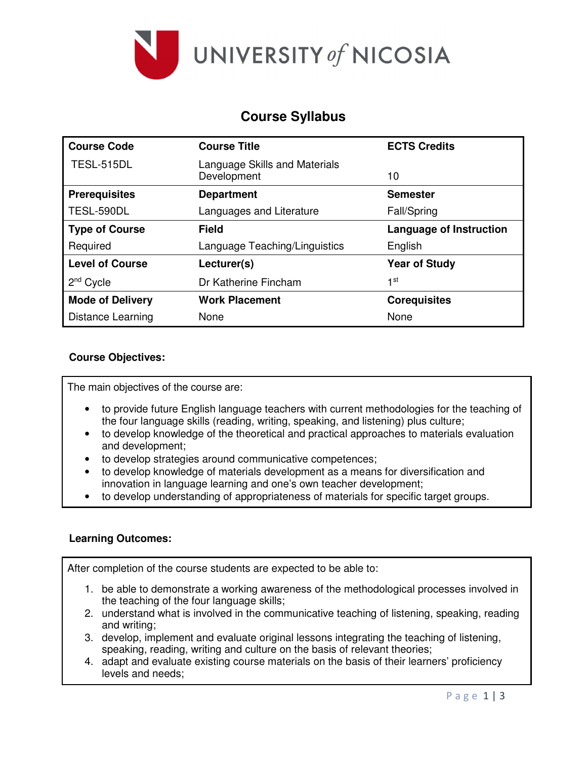

## **Course Syllabus**

| <b>Course Code</b>       | <b>Course Title</b>                          | <b>ECTS Credits</b>            |
|--------------------------|----------------------------------------------|--------------------------------|
| TESL-515DL               | Language Skills and Materials<br>Development | 10                             |
| <b>Prerequisites</b>     | <b>Department</b>                            | <b>Semester</b>                |
| TESL-590DL               | Languages and Literature                     | <b>Fall/Spring</b>             |
| <b>Type of Course</b>    | <b>Field</b>                                 | <b>Language of Instruction</b> |
| Required                 | Language Teaching/Linguistics                | English                        |
| <b>Level of Course</b>   | Lecturer(s)                                  | <b>Year of Study</b>           |
| $2nd$ Cycle              | Dr Katherine Fincham                         | 1st                            |
| <b>Mode of Delivery</b>  | <b>Work Placement</b>                        | <b>Corequisites</b>            |
| <b>Distance Learning</b> | None                                         | None                           |

## **Course Objectives:**

The main objectives of the course are:

- to provide future English language teachers with current methodologies for the teaching of the four language skills (reading, writing, speaking, and listening) plus culture;
- to develop knowledge of the theoretical and practical approaches to materials evaluation and development;
- to develop strategies around communicative competences;
- to develop knowledge of materials development as a means for diversification and innovation in language learning and one's own teacher development;
- to develop understanding of appropriateness of materials for specific target groups.

### **Learning Outcomes:**

After completion of the course students are expected to be able to:

- 1. be able to demonstrate a working awareness of the methodological processes involved in the teaching of the four language skills;
- 2. understand what is involved in the communicative teaching of listening, speaking, reading and writing;
- 3. develop, implement and evaluate original lessons integrating the teaching of listening, speaking, reading, writing and culture on the basis of relevant theories;
- 4. adapt and evaluate existing course materials on the basis of their learners' proficiency levels and needs;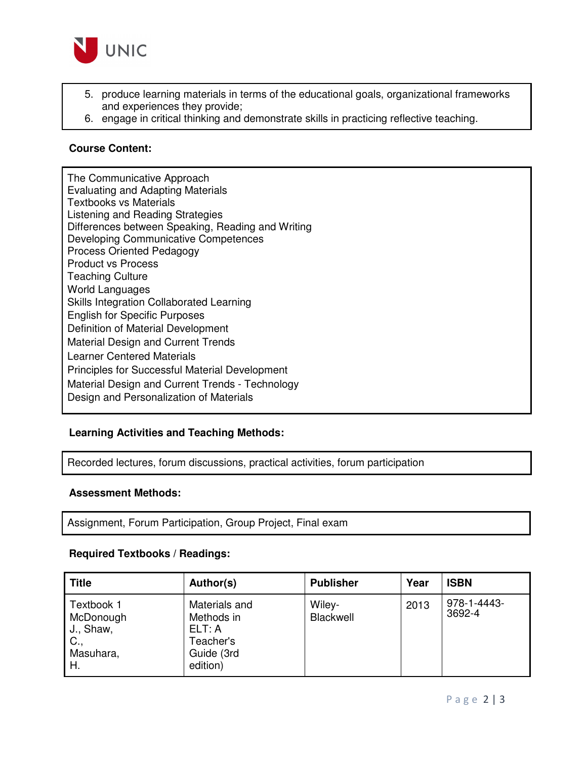

- 5. produce learning materials in terms of the educational goals, organizational frameworks and experiences they provide;
- 6. engage in critical thinking and demonstrate skills in practicing reflective teaching.

### **Course Content:**

The Communicative Approach Evaluating and Adapting Materials Textbooks vs Materials Listening and Reading Strategies Differences between Speaking, Reading and Writing Developing Communicative Competences Process Oriented Pedagogy Product vs Process Teaching Culture World Languages Skills Integration Collaborated Learning English for Specific Purposes Definition of Material Development Material Design and Current Trends Learner Centered Materials Principles for Successful Material Development Material Design and Current Trends - Technology Design and Personalization of Materials

### **Learning Activities and Teaching Methods:**

Recorded lectures, forum discussions, practical activities, forum participation

#### **Assessment Methods:**

Assignment, Forum Participation, Group Project, Final exam

#### **Required Textbooks / Readings:**

| <b>Title</b>                                                   | Author(s)                                                                    | <b>Publisher</b>    | Year | <b>ISBN</b>           |
|----------------------------------------------------------------|------------------------------------------------------------------------------|---------------------|------|-----------------------|
| Textbook 1<br>McDonough<br>J., Shaw,<br>C.,<br>Masuhara,<br>Η. | Materials and<br>Methods in<br>ELT: A<br>Teacher's<br>Guide (3rd<br>edition) | Wiley-<br>Blackwell | 2013 | 978-1-4443-<br>3692-4 |